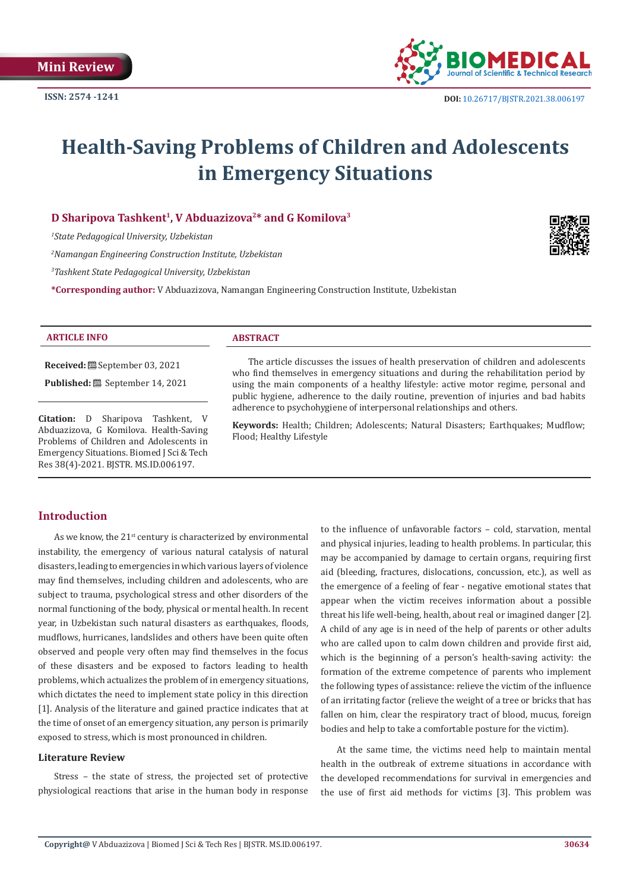

# **Health-Saving Problems of Children and Adolescents in Emergency Situations**

## **D Sharipova Tashkent1, V Abduazizova2\* and G Komilova3**

*1 State Pedagogical University, Uzbekistan*

*2 Namangan Engineering Construction Institute, Uzbekistan*

*3 Tashkent State Pedagogical University, Uzbekistan*

**\*Corresponding author:** V Abduazizova, Namangan Engineering Construction Institute, Uzbekistan



#### **ARTICLE INFO ABSTRACT**

**Received:** September 03, 2021

**Published:** September 14, 2021

**Citation:** D Sharipova Tashkent, V Abduazizova, G Komilova. Health-Saving Problems of Children and Adolescents in Emergency Situations. Biomed J Sci & Tech Res 38(4)-2021. BJSTR. MS.ID.006197.

The article discusses the issues of health preservation of children and adolescents who find themselves in emergency situations and during the rehabilitation period by using the main components of a healthy lifestyle: active motor regime, personal and public hygiene, adherence to the daily routine, prevention of injuries and bad habits adherence to psychohygiene of interpersonal relationships and others.

**Keywords:** Health; Children; Adolescents; Natural Disasters; Earthquakes; Mudflow; Flood; Healthy Lifestyle

# **Introduction**

As we know, the  $21^{st}$  century is characterized by environmental instability, the emergency of various natural catalysis of natural disasters, leading to emergencies in which various layers of violence may find themselves, including children and adolescents, who are subject to trauma, psychological stress and other disorders of the normal functioning of the body, physical or mental health. In recent year, in Uzbekistan such natural disasters as earthquakes, floods, mudflows, hurricanes, landslides and others have been quite often observed and people very often may find themselves in the focus of these disasters and be exposed to factors leading to health problems, which actualizes the problem of in emergency situations, which dictates the need to implement state policy in this direction [1]. Analysis of the literature and gained practice indicates that at the time of onset of an emergency situation, any person is primarily exposed to stress, which is most pronounced in children.

### **Literature Review**

Stress – the state of stress, the projected set of protective physiological reactions that arise in the human body in response

to the influence of unfavorable factors – cold, starvation, mental and physical injuries, leading to health problems. In particular, this may be accompanied by damage to certain organs, requiring first aid (bleeding, fractures, dislocations, concussion, etc.), as well as the emergence of a feeling of fear - negative emotional states that appear when the victim receives information about a possible threat his life well-being, health, about real or imagined danger [2]. A child of any age is in need of the help of parents or other adults who are called upon to calm down children and provide first aid, which is the beginning of a person's health-saving activity: the formation of the extreme competence of parents who implement the following types of assistance: relieve the victim of the influence of an irritating factor (relieve the weight of a tree or bricks that has fallen on him, clear the respiratory tract of blood, mucus, foreign bodies and help to take a comfortable posture for the victim).

At the same time, the victims need help to maintain mental health in the outbreak of extreme situations in accordance with the developed recommendations for survival in emergencies and the use of first aid methods for victims [3]. This problem was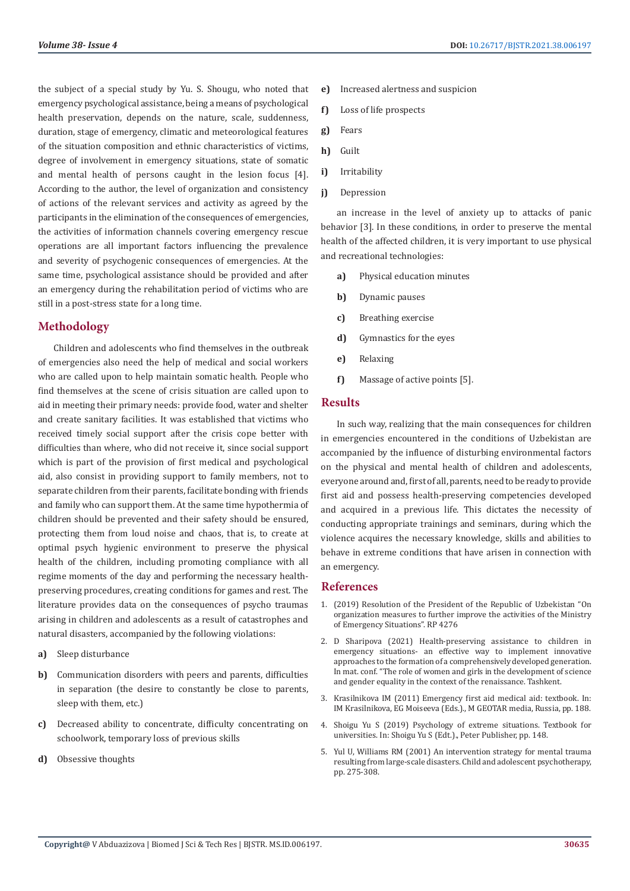the subject of a special study by Yu. S. Shougu, who noted that emergency psychological assistance, being a means of psychological health preservation, depends on the nature, scale, suddenness, duration, stage of emergency, climatic and meteorological features of the situation composition and ethnic characteristics of victims, degree of involvement in emergency situations, state of somatic and mental health of persons caught in the lesion focus [4]. According to the author, the level of organization and consistency of actions of the relevant services and activity as agreed by the participants in the elimination of the consequences of emergencies, the activities of information channels covering emergency rescue operations are all important factors influencing the prevalence and severity of psychogenic consequences of emergencies. At the same time, psychological assistance should be provided and after an emergency during the rehabilitation period of victims who are still in a post-stress state for a long time.

# **Methodology**

Children and adolescents who find themselves in the outbreak of emergencies also need the help of medical and social workers who are called upon to help maintain somatic health. People who find themselves at the scene of crisis situation are called upon to aid in meeting their primary needs: provide food, water and shelter and create sanitary facilities. It was established that victims who received timely social support after the crisis cope better with difficulties than where, who did not receive it, since social support which is part of the provision of first medical and psychological aid, also consist in providing support to family members, not to separate children from their parents, facilitate bonding with friends and family who can support them. At the same time hypothermia of children should be prevented and their safety should be ensured, protecting them from loud noise and chaos, that is, to create at optimal psych hygienic environment to preserve the physical health of the children, including promoting compliance with all regime moments of the day and performing the necessary healthpreserving procedures, creating conditions for games and rest. The literature provides data on the consequences of psycho traumas arising in children and adolescents as a result of catastrophes and natural disasters, accompanied by the following violations:

- **a)** Sleep disturbance
- **b)** Communication disorders with peers and parents, difficulties in separation (the desire to constantly be close to parents, sleep with them, etc.)
- **c)** Decreased ability to concentrate, difficulty concentrating on schoolwork, temporary loss of previous skills
- **d)** Obsessive thoughts
- **e)** Increased alertness and suspicion
- **f)** Loss of life prospects
- **g)** Fears
- **h)** Guilt
- **i)** Irritability
- **j)** Depression

an increase in the level of anxiety up to attacks of panic behavior [3]. In these conditions, in order to preserve the mental health of the affected children, it is very important to use physical and recreational technologies:

- **a)** Physical education minutes
- **b)** Dynamic pauses
- **c)** Breathing exercise
- **d)** Gymnastics for the eyes
- **e)** Relaxing
- **f)** Massage of active points [5].

### **Results**

In such way, realizing that the main consequences for children in emergencies encountered in the conditions of Uzbekistan are accompanied by the influence of disturbing environmental factors on the physical and mental health of children and adolescents, everyone around and, first of all, parents, need to be ready to provide first aid and possess health-preserving competencies developed and acquired in a previous life. This dictates the necessity of conducting appropriate trainings and seminars, during which the violence acquires the necessary knowledge, skills and abilities to behave in extreme conditions that have arisen in connection with an emergency.

### **References**

- 1. (2019) Resolution of the President of the Republic of Uzbekistan "On organization measures to further improve the activities of the Ministry of Emergency Situations". RP 4276
- 2. D Sharipova (2021) Health-preserving assistance to children in emergency situations- an effective way to implement innovative approaches to the formation of a comprehensively developed generation. In mat. conf. "The role of women and girls in the development of science and gender equality in the context of the renaissance. Tashkent.
- 3. Krasilnikova IM (2011) Emergency first aid medical aid: textbook. In: IM Krasilnikova, EG Moiseeva (Eds.)., M GEOTAR media, Russia, pp. 188.
- 4. Shoigu Yu S (2019) Psychology of extreme situations. Textbook for universities. In: Shoigu Yu S (Edt.)., Peter Publisher, pp. 148.
- 5. Yul U, Williams RM (2001) An intervention strategy for mental trauma resulting from large-scale disasters. Child and adolescent psychotherapy, pp. 275-308.